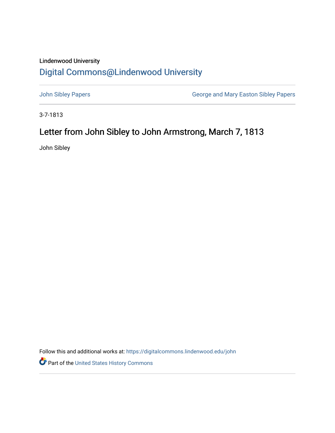## Lindenwood University

## [Digital Commons@Lindenwood University](https://digitalcommons.lindenwood.edu/)

[John Sibley Papers](https://digitalcommons.lindenwood.edu/john) [George and Mary Easton Sibley Papers](https://digitalcommons.lindenwood.edu/sibley) 

3-7-1813

## Letter from John Sibley to John Armstrong, March 7, 1813

John Sibley

Follow this and additional works at: [https://digitalcommons.lindenwood.edu/john](https://digitalcommons.lindenwood.edu/john?utm_source=digitalcommons.lindenwood.edu%2Fjohn%2F7&utm_medium=PDF&utm_campaign=PDFCoverPages) 

Part of the [United States History Commons](http://network.bepress.com/hgg/discipline/495?utm_source=digitalcommons.lindenwood.edu%2Fjohn%2F7&utm_medium=PDF&utm_campaign=PDFCoverPages)